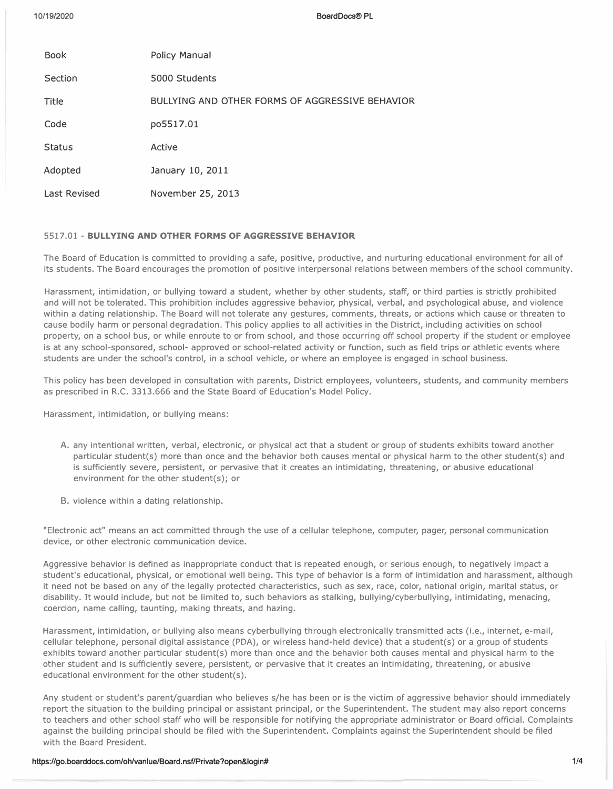**BoardDocs® PL** 

| <b>Book</b>         | <b>Policy Manual</b>                            |
|---------------------|-------------------------------------------------|
| Section             | 5000 Students                                   |
| Title               | BULLYING AND OTHER FORMS OF AGGRESSIVE BEHAVIOR |
| Code                | po5517.01                                       |
| <b>Status</b>       | Active                                          |
| Adopted             | January 10, 2011                                |
| <b>Last Revised</b> | November 25, 2013                               |
|                     |                                                 |

# 5517.01 - **BULLYING AND OTHER FORMS OF AGGRESSIVE BEHAVIOR**

The Board of Education is committed to providing a safe, positive, productive, and nurturing educational environment for all of its students. The Board encourages the promotion of positive interpersonal relations between members of the school community.

Harassment, intimidation, or bullying toward a student, whether by other students, staff, or third parties is strictly prohibited and will not be tolerated. This prohibition includes aggressive behavior, physical, verbal, and psychological abuse, and violence within a dating relationship. The Board will not tolerate any gestures, comments, threats, or actions which cause or threaten to cause bodily harm or personal degradation. This policy applies to all activities in the District, including activities on school property, on a school bus, or while enroute to or from school, and those occurring *off* school property if the student or employee is at any school-sponsored, school- approved or school-related activity or function, such as field trips or athletic events where students are under the school's control, in a school vehicle, or where an employee is engaged in school business.

This policy has been developed in consultation with parents, District employees, volunteers, students, and community members as prescribed in R.C. 3313.666 and the State Board of Education's Model Policy.

Harassment, intimidation, or bullying means:

- A. any intentional written, verbal, electronic, or physical act that a student or group of students exhibits toward another particular student(s) more than once and the behavior both causes mental or physical harm to the other student(s) and is sufficiently severe, persistent, or pervasive that it creates an intimidating, threatening, or abusive educational environment for the other student(s); or
- B. violence within a dating relationship.

"Electronic act" means an act committed through the use of a cellular telephone, computer, pager, personal communication device, or other electronic communication device.

Aggressive behavior is defined as inappropriate conduct that is repeated enough, or serious enough, to negatively impact a student's educational, physical, or emotional well being. This type of behavior is a form of intimidation and harassment, although it need not be based on any of the legally protected characteristics, such as sex, race, color, national origin, marital status, or disability. It would include, but not be limited to, such behaviors as stalking, bullying/cyberbullying, intimidating, menacing, coercion, name calling, taunting, making threats, and hazing.

Harassment, intimidation, or bullying also means cyberbullying through electronically transmitted acts (i.e., internet, e-mail, cellular telephone, personal digital assistance (PDA), or wireless hand-held device) that a student(s) or a group of students exhibits toward another particular student(s) more than once and the behavior both causes mental and physical harm to the other student and is sufficiently severe, persistent, or pervasive that it creates an intimidating, threatening, or abusive educational environment for the other student(s).

Any student or student's parent/guardian who believes s/he has been or is the victim of aggressive behavior should immediately report the situation to the building principal or assistant principal, or the Superintendent. The student may also report concerns to teachers and other school staff who will be responsible for notifying the appropriate administrator or Board official. Complaints against the building principal should be filed with the Superintendent. Complaints against the Superintendent should be filed with the Board President.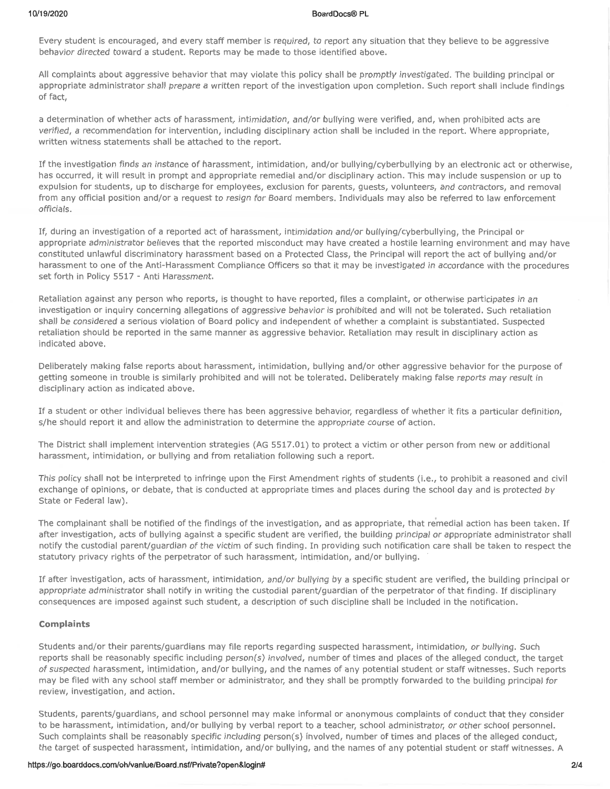#### **BoardDocs® PL**

Every student is encouraged, and every staff member is required, to report any situation that they believe to be aggressive behavior directed toward a student. Reports may be made to those identified above.

All complaints about aggressive behavior that may violate this policy shall be promptly investigated. The building principal or appropriate administrator shall prepare a written report of the investigation upon completion. Such report shall include findings of fact,

a determination of whether acts of harassment, intimidation, and/or bullying were verified, and, when prohibited acts are verified, a recommendation for intervention, including disciplinary action shall be included in the report. Where appropriate. written witness statements shall be attached to the report.

If the investigation finds an instance of harassment, intimidation, and/or bullying/cyberbullying by an electronic act or otherwise, has occurred, it will result in prompt and appropriate remedial and/or disciplinary action. This may include suspension or up to expulsion for students, up to discharge for employees, exclusion for parents, guests, volunteers, and contractors, and removal from any official position and/or a request to resign for Board members. Individuals may also be referred to law enforcement officials.

If, during an investigation of a reported act of harassment, intimidation and/or bullying/cyberbullying, the Principal or appropriate administrator believes that the reported misconduct may have created a hostile learning environment and may have constituted unlawful discriminatory harassment based on a Protected Class, the Principal will report the act of bullying and/or harassment to one of the Anti-Harassment Compliance Officers so that it may be investigated in accordance with the procedures set forth in Policy 5517 - Anti Harassment.

Retaliation against any person who reports, is thought to have reported, files a complaint, or otherwise participates in an investigation or inquiry concerning allegations of aggressive behavior is prohibited and will not be tolerated. Such retaliation shall be considered a serious violation of Board policy and independent of whether a complaint is substantiated. Suspected retaliation should be reported in the same manner as aggressive behavior. Retaliation may result in disciplinary action as indicated above.

Deliberately making false reports about harassment, intimidation, bullying and/or other aggressive behavior for the purpose of getting someone in trouble is similarly prohibited and will not be tolerated. Deliberately making false reports may result in disciplinary action as indicated above.

If a student or other individual believes there has been aggressive behavior, regardless of whether it fits a particular definition, s/he should report it and allow the administration to determine the appropriate course of action.

The District shall implement intervention strategies (AG 5517.01) to protect a victim or other person from new or additional harassment, intimidation, or bullying and from retaliation following such a report.

This policy shall not be interpreted to infringe upon the First Amendment rights of students (i.e., to prohibit a reasoned and civil exchange of opinions, or debate, that is conducted at appropriate times and places during the school day and is protected by State or Federal law).

The complainant shall be notified of the findings of the investigation, and as appropriate, that remedial action has been taken. If after investigation, acts of bullying against a specific student are verified, the building principal or appropriate administrator shall notify the custodial parent/guardian of the victim of such finding. In providing such notification care shall be taken to respect the statutory privacy rights of the perpetrator of such harassment, intimidation, and/or bullying.

If after investigation, acts of harassment, intimidation, and/or bullying by a specific student are verified, the building principal or appropriate administrator shall notify in writing the custodial parent/guardian of the perpetrator of that finding. If disciplinary consequences are imposed against such student, a description of such discipline shall be included in the notification.

# **Complaints**

Students and/or their parents/guardians may file reports regarding suspected harassment, intimidation, or bullying, Such reports shall be reasonably specific including person(s) involved, number of times and places of the alleged conduct, the target of suspected harassment, intimidation, and/or bullying, and the names of any potential student or staff witnesses. Such reports may be filed with any school staff member or administrator, and they shall be promptly forwarded to the building principal for review, investigation, and action.

Students, parents/guardians, and school personnel may make informal or anonymous complaints of conduct that they consider to be harassment, intimidation, and/or bullying by verbal report to a teacher, school administrator, or other school personnel. Such complaints shall be reasonably specific including person(s) involved, number of times and places of the alleged conduct, the target of suspected harassment, intimidation, and/or bullying, and the names of any potential student or staff witnesses. A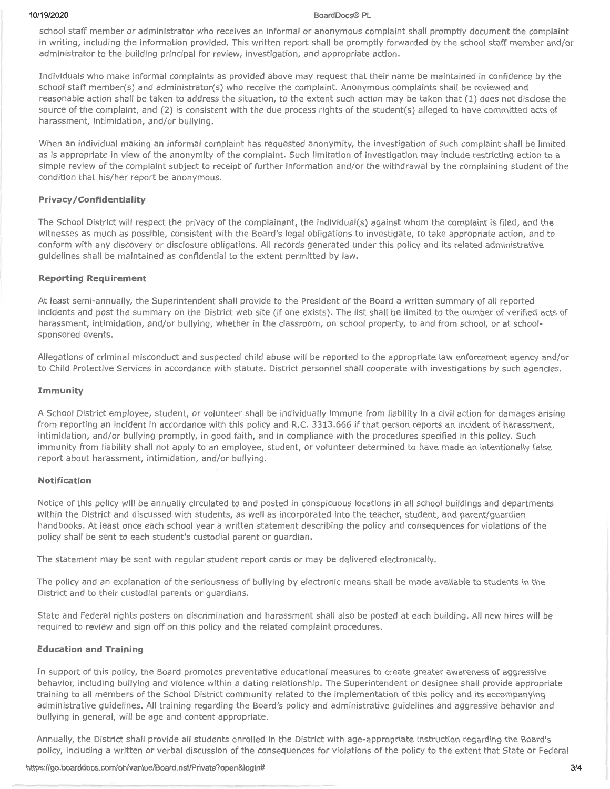#### 10/19/2020

#### BoardDocs® PL

school staff member or administrator who receives an informal or anonymous complaint shall promptly document the complaint in writing, including the information provided. This written report shall be promptly forwarded by the school staff member and/or administrator to the building principal for review, investigation, and appropriate action.

Individuals who make informal complaints as provided above may request that their name be maintained in confidence by the school staff member(s) and administrator(s) who receive the complaint. Anonymous complaints shall be reviewed and reasonable action shall be taken to address the situation, to the extent such action may be taken that (1) does not disclose the source of the complaint, and (2) is consistent with the due process rights of the student(s) alleged to have committed acts of harassment, intimidation, and/or bullying.

When an individual making an informal complaint has requested anonymity, the investigation of such complaint shall be limited as is appropriate in view of the anonymity of the complaint. Such limitation of investigation may include restricting action to a simple review of the complaint subject to receipt of further information and/or the withdrawal by the complaining student of the condition that his/her report be anonymous.

# **Privacy/Confidentiality**

The School District will respect the privacy of the complainant, the individual(s) against whom the complaint is filed, and the witnesses as much as possible, consistent with the Board's legal obligations to investigate, to take appropriate action, and to conform with any discovery or disclosure obligations. All records generated under this policy and its related administrative guidelines shall be maintained as confidential to the extent permitted by law.

# **Reporting Requirement**

At least semi-annually, the Superintendent shall provide to the President of the Board a written summary of all reported incidents and post the summary on the District web site (if one exists). The list shall be limited to the number of verified acts of harassment, intimidation, and/or bullying, whether in the classroom, on school property, to and from school, or at schoolsponsored events.

Allegations of criminal misconduct and suspected child abuse will be reported to the appropriate law enforcement agency and/or to Child Protective Services in accordance with statute. District personnel shall cooperate with investigations by such agencies.

#### Immunity

A School District employee, student, or volunteer shall be individually immune from liability in a civil action for damages arising from reporting an incident in accordance with this policy and R.C. 3313.666 if that person reports an incident of harassment, intimidation, and/or bullying promptly, in good faith, and in compliance with the procedures specified in this policy. Such immunity from liability shall not apply to an employee, student, or volunteer determined to have made an intentionally false report about harassment, intimidation, and/or bullying.

# **Notification**

Notice of this policy will be annually circulated to and posted in conspicuous locations in all school buildings and departments within the District and discussed with students, as well as incorporated into the teacher, student, and parent/guardian handbooks. At least once each school year a written statement describing the policy and consequences for violations of the policy shall be sent to each student's custodial parent or quardian.

The statement may be sent with regular student report cards or may be delivered electronically.

The policy and an explanation of the seriousness of bullying by electronic means shall be made available to students in the District and to their custodial parents or guardians.

State and Federal rights posters on discrimination and harassment shall also be posted at each building. All new hires will be required to review and sign off on this policy and the related complaint procedures.

# **Education and Training**

In support of this policy, the Board promotes preventative educational measures to create greater awareness of aggressive behavior, including bullying and violence within a dating relationship. The Superintendent or designee shall provide appropriate training to all members of the School District community related to the implementation of this policy and its accompanying administrative guidelines. All training regarding the Board's policy and administrative guidelines and aggressive behavior and bullying in general, will be age and content appropriate.

Annually, the District shall provide all students enrolled in the District with age-appropriate instruction regarding the Board's policy, including a written or verbal discussion of the consequences for violations of the policy to the extent that State or Federal